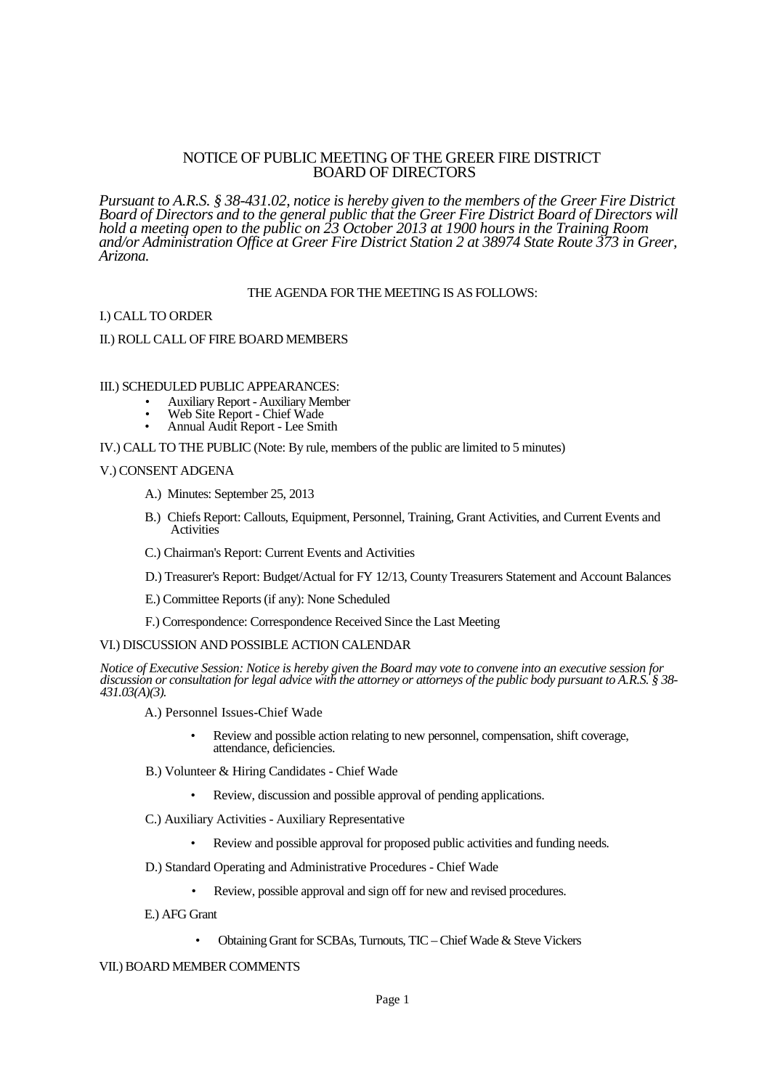# NOTICE OF PUBLIC MEETING OF THE GREER FIRE DISTRICT BOARD OF DIRECTORS

*Pursuant to A.R.S. § 38-431.02, notice is hereby given to the members of the Greer Fire District Board of Directors and to the general public that the Greer Fire District Board of Directors will hold a meeting open to the public on 23 October 2013 at 1900 hours in the Training Room and/or Administration Office at Greer Fire District Station 2 at 38974 State Route 373 in Greer, Arizona.*

# THE AGENDA FOR THE MEETING IS AS FOLLOWS:

### I.) CALL TO ORDER

#### II.) ROLL CALL OF FIRE BOARD MEMBERS

#### III.) SCHEDULED PUBLIC APPEARANCES:

- Auxiliary Report Auxiliary Member
- Web Site Report Chief Wade
- Annual Audit Report Lee Smith

IV.) CALL TO THE PUBLIC (Note: By rule, members of the public are limited to 5 minutes)

#### V.) CONSENT ADGENA

- A.) Minutes: September 25, 2013
- B.) Chiefs Report: Callouts, Equipment, Personnel, Training, Grant Activities, and Current Events and Activities
- C.) Chairman's Report: Current Events and Activities
- D.) Treasurer's Report: Budget/Actual for FY 12/13, County Treasurers Statement and Account Balances
- E.) Committee Reports (if any): None Scheduled
- F.) Correspondence: Correspondence Received Since the Last Meeting

#### VI.) DISCUSSION AND POSSIBLE ACTION CALENDAR

*Notice of Executive Session: Notice is hereby given the Board may vote to convene into an executive session for discussion or consultation for legal advice with the attorney or attorneys of the public body pursuant to A.R.S. § 38- 431.03(A)(3).*

A.) Personnel Issues-Chief Wade

- Review and possible action relating to new personnel, compensation, shift coverage, attendance, deficiencies.
- B.) Volunteer & Hiring Candidates Chief Wade
	- Review, discussion and possible approval of pending applications.
- C.) Auxiliary Activities Auxiliary Representative
	- Review and possible approval for proposed public activities and funding needs.
- D.) Standard Operating and Administrative Procedures Chief Wade
	- Review, possible approval and sign off for new and revised procedures.
- E.) AFG Grant
	- Obtaining Grant for SCBAs, Turnouts, TIC Chief Wade & Steve Vickers

VII.) BOARD MEMBER COMMENTS